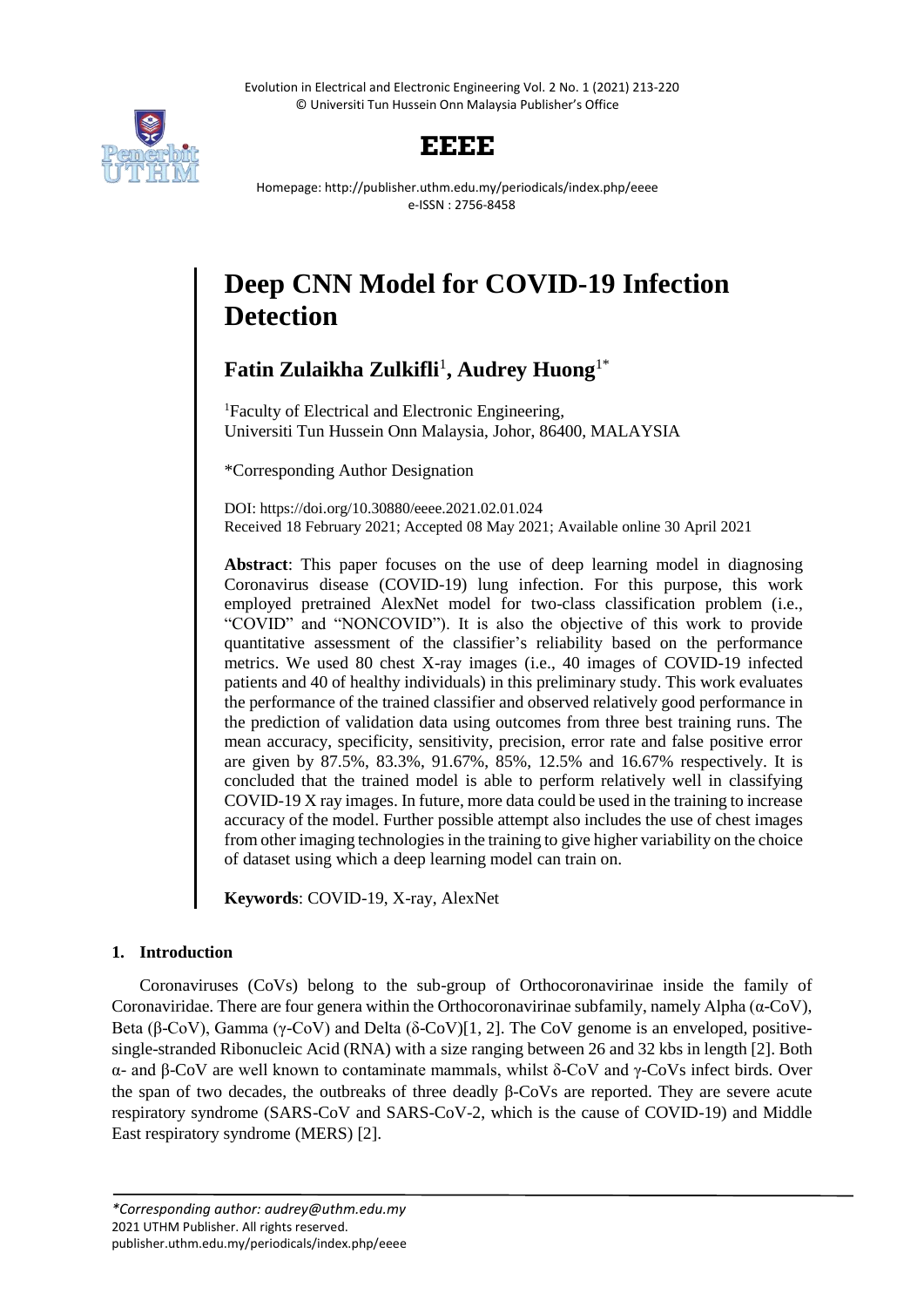Evolution in Electrical and Electronic Engineering Vol. 2 No. 1 (2021) 213-220 © Universiti Tun Hussein Onn Malaysia Publisher's Office



# **EEEE**

Homepage: http://publisher.uthm.edu.my/periodicals/index.php/eeee e-ISSN : 2756-8458

# **Deep CNN Model for COVID-19 Infection Detection**

**Fatin Zulaikha Zulkifli**<sup>1</sup> **, Audrey Huong**1\*

<sup>1</sup>Faculty of Electrical and Electronic Engineering, Universiti Tun Hussein Onn Malaysia, Johor, 86400, MALAYSIA

\*Corresponding Author Designation

DOI: https://doi.org/10.30880/eeee.2021.02.01.024 Received 18 February 2021; Accepted 08 May 2021; Available online 30 April 2021

**Abstract**: This paper focuses on the use of deep learning model in diagnosing Coronavirus disease (COVID-19) lung infection. For this purpose, this work employed pretrained AlexNet model for two-class classification problem (i.e., "COVID" and "NONCOVID"). It is also the objective of this work to provide quantitative assessment of the classifier's reliability based on the performance metrics. We used 80 chest X-ray images (i.e., 40 images of COVID-19 infected patients and 40 of healthy individuals) in this preliminary study. This work evaluates the performance of the trained classifier and observed relatively good performance in the prediction of validation data using outcomes from three best training runs. The mean accuracy, specificity, sensitivity, precision, error rate and false positive error are given by 87.5%, 83.3%, 91.67%, 85%, 12.5% and 16.67% respectively. It is concluded that the trained model is able to perform relatively well in classifying COVID-19 X ray images. In future, more data could be used in the training to increase accuracy of the model. Further possible attempt also includes the use of chest images from other imaging technologies in the training to give higher variability on the choice of dataset using which a deep learning model can train on.

**Keywords**: COVID-19, X-ray, AlexNet

# **1. Introduction**

Coronaviruses (CoVs) belong to the sub-group of Orthocoronavirinae inside the family of Coronaviridae. There are four genera within the Orthocoronavirinae subfamily, namely Alpha (α-CoV), Beta (β-CoV), Gamma (γ-CoV) and Delta (δ-CoV)[1, 2]. The CoV genome is an enveloped, positivesingle-stranded Ribonucleic Acid (RNA) with a size ranging between 26 and 32 kbs in length [2]. Both α- and β-CoV are well known to contaminate mammals, whilst δ-CoV and γ-CoVs infect birds. Over the span of two decades, the outbreaks of three deadly β-CoVs are reported. They are severe acute respiratory syndrome (SARS-CoV and SARS-CoV-2, which is the cause of COVID-19) and Middle East respiratory syndrome (MERS) [2].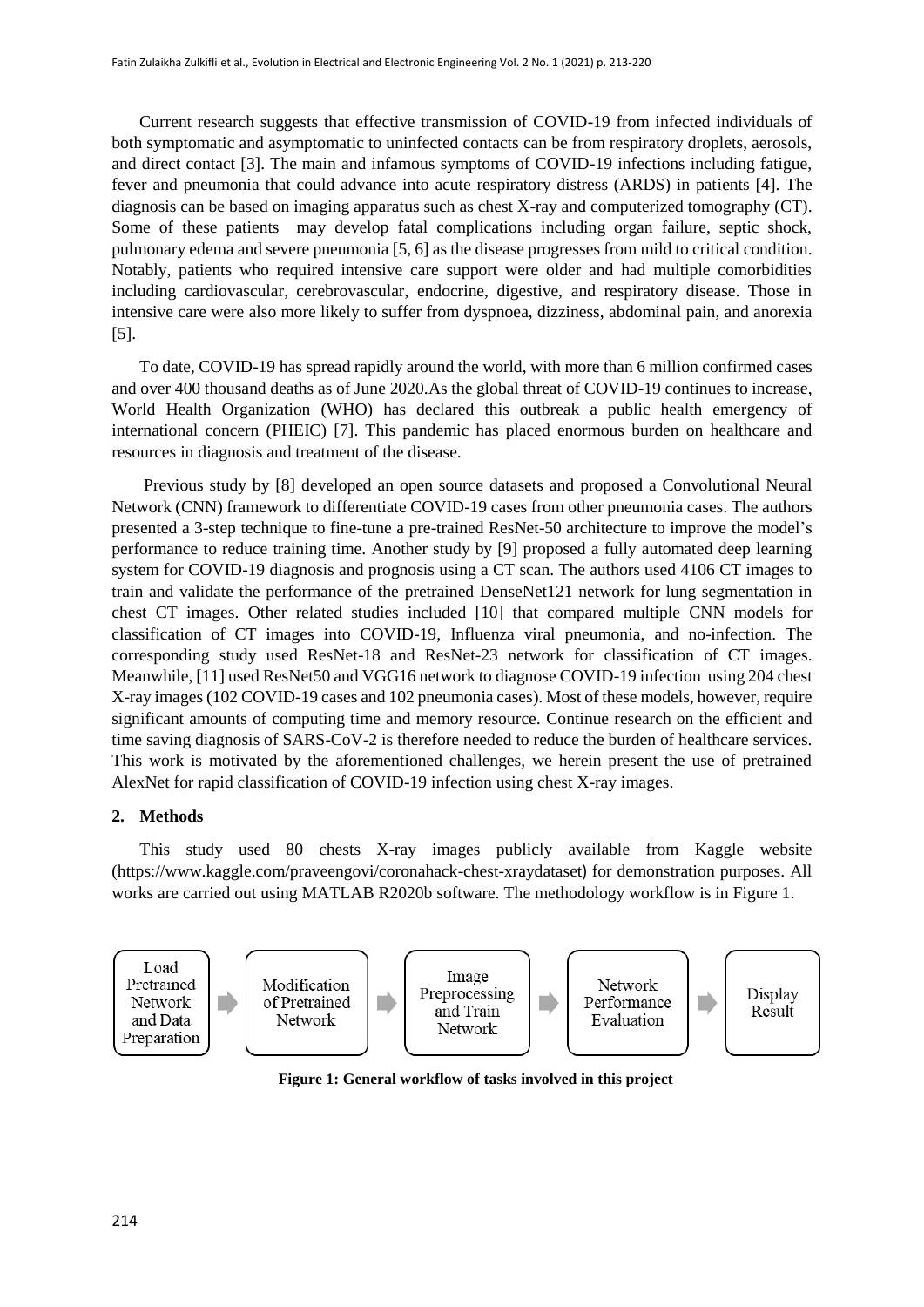Current research suggests that effective transmission of COVID-19 from infected individuals of both symptomatic and asymptomatic to uninfected contacts can be from respiratory droplets, aerosols, and direct contact [3]. The main and infamous symptoms of COVID-19 infections including fatigue, fever and pneumonia that could advance into acute respiratory distress (ARDS) in patients [4]. The diagnosis can be based on imaging apparatus such as chest X-ray and computerized tomography (CT). Some of these patients may develop fatal complications including organ failure, septic shock, pulmonary edema and severe pneumonia [5, 6] as the disease progresses from mild to critical condition. Notably, patients who required intensive care support were older and had multiple comorbidities including cardiovascular, cerebrovascular, endocrine, digestive, and respiratory disease. Those in intensive care were also more likely to suffer from dyspnoea, dizziness, abdominal pain, and anorexia [5].

To date, COVID-19 has spread rapidly around the world, with more than 6 million confirmed cases and over 400 thousand deaths as of June 2020.As the global threat of COVID-19 continues to increase, World Health Organization (WHO) has declared this outbreak a public health emergency of international concern (PHEIC) [7]. This pandemic has placed enormous burden on healthcare and resources in diagnosis and treatment of the disease.

Previous study by [8] developed an open source datasets and proposed a Convolutional Neural Network (CNN) framework to differentiate COVID-19 cases from other pneumonia cases. The authors presented a 3-step technique to fine-tune a pre-trained ResNet-50 architecture to improve the model's performance to reduce training time. Another study by [9] proposed a fully automated deep learning system for COVID-19 diagnosis and prognosis using a CT scan. The authors used 4106 CT images to train and validate the performance of the pretrained DenseNet121 network for lung segmentation in chest CT images. Other related studies included [10] that compared multiple CNN models for classification of CT images into COVID-19, Influenza viral pneumonia, and no-infection. The corresponding study used ResNet-18 and ResNet-23 network for classification of CT images. Meanwhile, [11] used ResNet50 and VGG16 network to diagnose COVID-19 infection using 204 chest X-ray images (102 COVID-19 cases and 102 pneumonia cases). Most of these models, however, require significant amounts of computing time and memory resource. Continue research on the efficient and time saving diagnosis of SARS-CoV-2 is therefore needed to reduce the burden of healthcare services. This work is motivated by the aforementioned challenges, we herein present the use of pretrained AlexNet for rapid classification of COVID-19 infection using chest X-ray images.

#### **2. Methods**

This study used 80 chests X-ray images publicly available from Kaggle website [\(https://www.kaggle.com/praveengovi/coronahack-chest-xraydataset](https://www.kaggle.com/praveengovi/coronahack-chest-xraydataset)) for demonstration purposes. All works are carried out using MATLAB R2020b software. The methodology workflow is in Figure 1.



**Figure 1: General workflow of tasks involved in this project**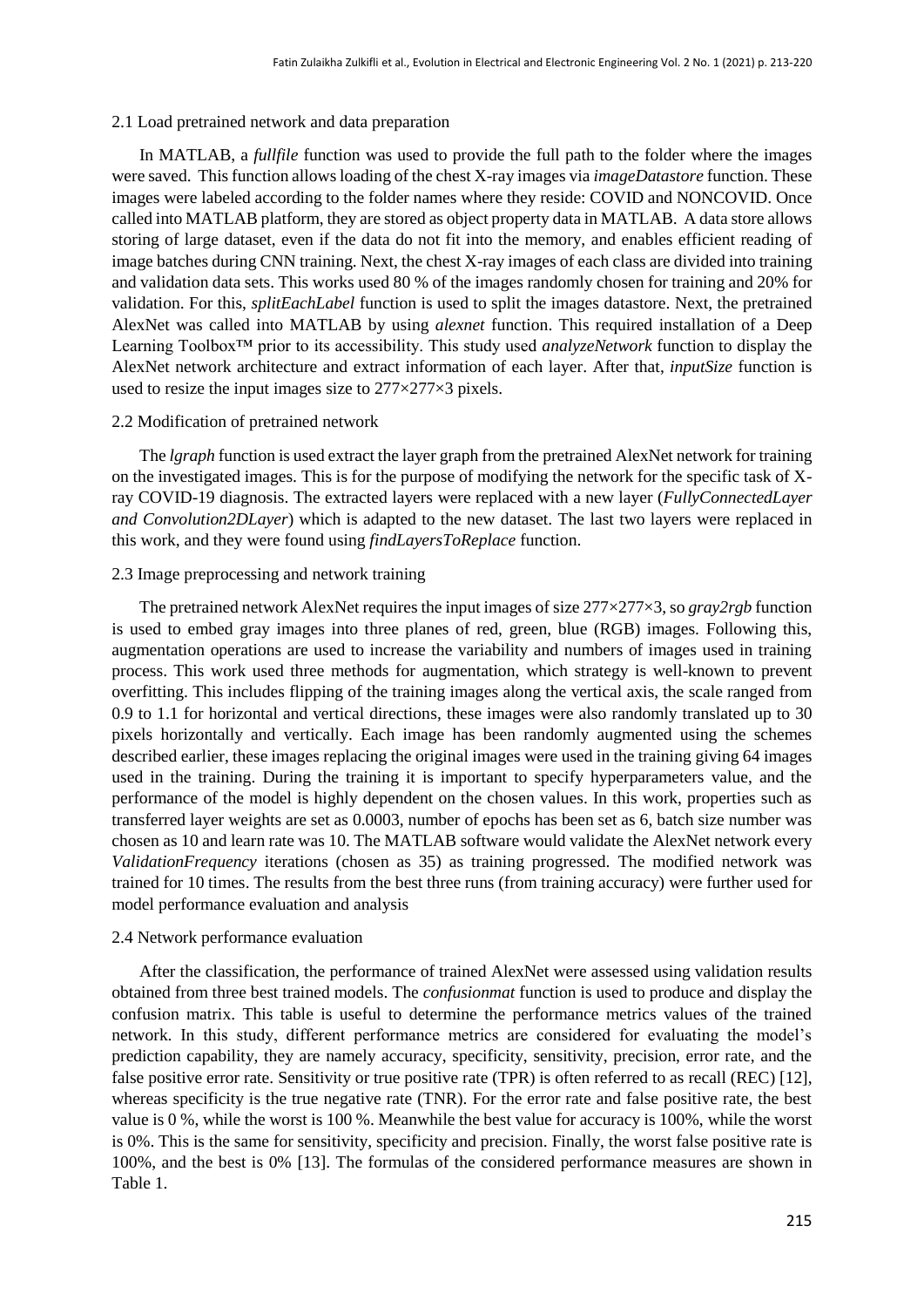## 2.1 Load pretrained network and data preparation

In MATLAB, a *fullfile* function was used to provide the full path to the folder where the images were saved. This function allows loading of the chest X-ray images via *imageDatastore* function. These images were labeled according to the folder names where they reside: COVID and NONCOVID. Once called into MATLAB platform, they are stored as object property data in MATLAB. A data store allows storing of large dataset, even if the data do not fit into the memory, and enables efficient reading of image batches during CNN training. Next, the chest X-ray images of each class are divided into training and validation data sets. This works used 80 % of the images randomly chosen for training and 20% for validation. For this, *splitEachLabel* function is used to split the images datastore. Next, the pretrained AlexNet was called into MATLAB by using *alexnet* function. This required installation of a Deep Learning Toolbox™ prior to its accessibility. This study used *analyzeNetwork* function to display the AlexNet network architecture and extract information of each layer. After that, *inputSize* function is used to resize the input images size to 277×277×3 pixels.

#### 2.2 Modification of pretrained network

The *lgraph* function is used extract the layer graph from the pretrained AlexNet network for training on the investigated images. This is for the purpose of modifying the network for the specific task of Xray COVID-19 diagnosis. The extracted layers were replaced with a new layer (*FullyConnectedLayer and Convolution2DLayer*) which is adapted to the new dataset. The last two layers were replaced in this work, and they were found using *findLayersToReplace* function.

#### 2.3 Image preprocessing and network training

The pretrained network AlexNet requires the input images of size  $277 \times 277 \times 3$ , so *gray2rgb* function is used to embed gray images into three planes of red, green, blue (RGB) images. Following this, augmentation operations are used to increase the variability and numbers of images used in training process. This work used three methods for augmentation, which strategy is well-known to prevent overfitting. This includes flipping of the training images along the vertical axis, the scale ranged from 0.9 to 1.1 for horizontal and vertical directions, these images were also randomly translated up to 30 pixels horizontally and vertically. Each image has been randomly augmented using the schemes described earlier, these images replacing the original images were used in the training giving 64 images used in the training. During the training it is important to specify hyperparameters value, and the performance of the model is highly dependent on the chosen values. In this work, properties such as transferred layer weights are set as 0.0003, number of epochs has been set as 6, batch size number was chosen as 10 and learn rate was 10. The MATLAB software would validate the AlexNet network every *ValidationFrequency* iterations (chosen as 35) as training progressed. The modified network was trained for 10 times. The results from the best three runs (from training accuracy) were further used for model performance evaluation and analysis

## 2.4 Network performance evaluation

After the classification, the performance of trained AlexNet were assessed using validation results obtained from three best trained models. The *confusionmat* function is used to produce and display the confusion matrix. This table is useful to determine the performance metrics values of the trained network. In this study, different performance metrics are considered for evaluating the model's prediction capability, they are namely accuracy, specificity, sensitivity, precision, error rate, and the false positive error rate. Sensitivity or true positive rate (TPR) is often referred to as recall (REC) [12], whereas specificity is the true negative rate (TNR). For the error rate and false positive rate, the best value is 0 %, while the worst is 100 %. Meanwhile the best value for accuracy is 100%, while the worst is 0%. This is the same for sensitivity, specificity and precision. Finally, the worst false positive rate is 100%, and the best is 0% [13]. The formulas of the considered performance measures are shown in Table 1.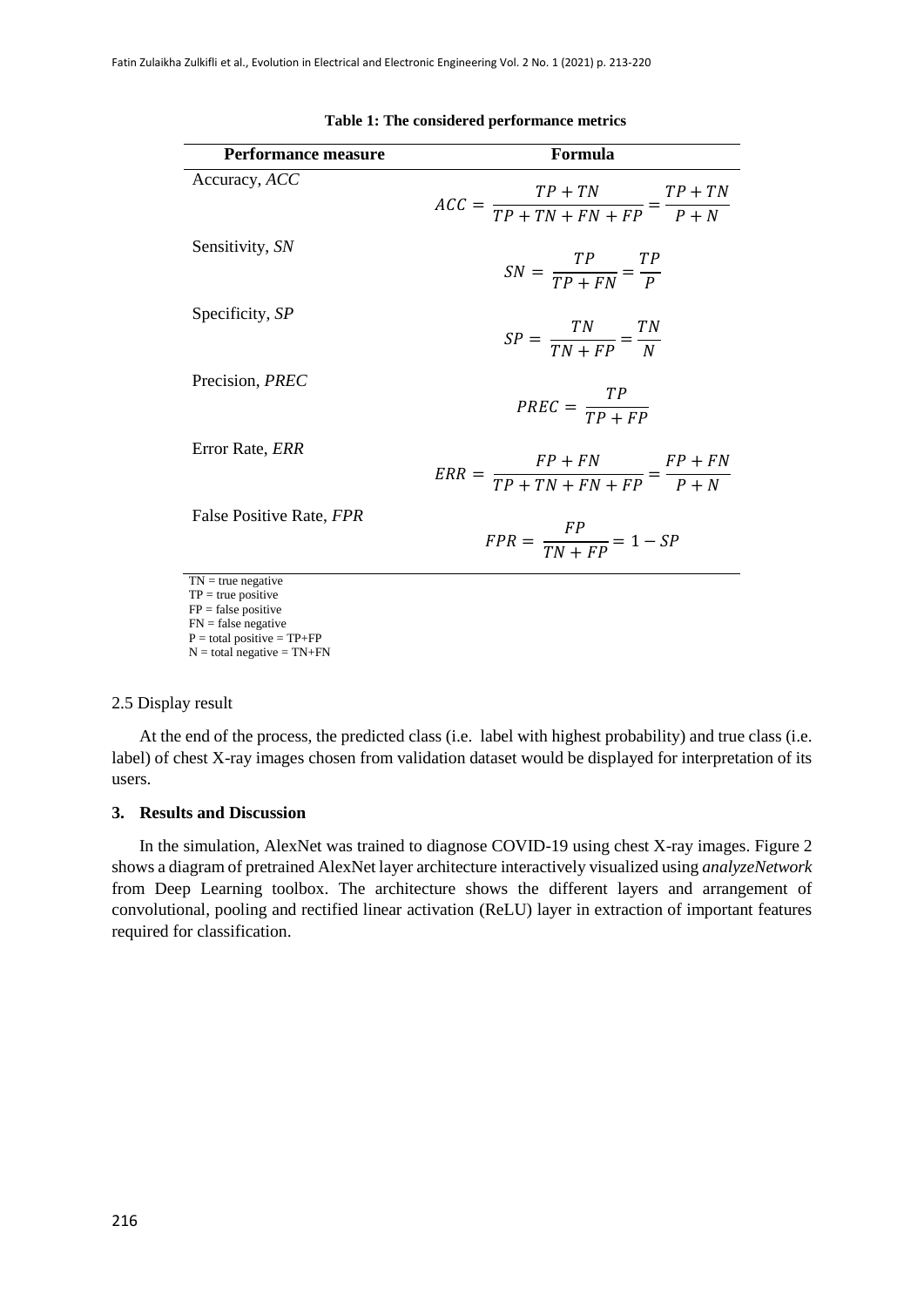| Performance measure                                                                            | Formula                                                           |
|------------------------------------------------------------------------------------------------|-------------------------------------------------------------------|
| Accuracy, ACC                                                                                  | $ACC = \frac{TP + TN}{TP + TN + FN + FP} = \frac{TP + TN}{P + N}$ |
| Sensitivity, SN                                                                                | $SN = \frac{TP}{TP + FN} = \frac{TP}{P}$                          |
| Specificity, SP                                                                                | $SP = \frac{TN}{TN + FP} = \frac{TN}{N}$                          |
| Precision, PREC                                                                                | $PREC = \frac{TP}{TP + FP}$                                       |
| Error Rate, <i>ERR</i>                                                                         | $ERR = \frac{FP + FN}{TP + TN + FN + FP} = \frac{FP + FN}{P + N}$ |
| False Positive Rate, FPR                                                                       | $FPR = \frac{FP}{TN + FP} = 1 - SP$                               |
| $TN = true negative$<br>$TP = true positive$<br>$FP = false positive$<br>$FN = false negative$ |                                                                   |

**Table 1: The considered performance metrics**

 $P =$  total positive = TP+FP  $N =$  total negative = TN+FN

2.5 Display result

At the end of the process, the predicted class (i.e. label with highest probability) and true class (i.e. label) of chest X-ray images chosen from validation dataset would be displayed for interpretation of its users.

# **3. Results and Discussion**

In the simulation, AlexNet was trained to diagnose COVID-19 using chest X-ray images. Figure 2 shows a diagram of pretrained AlexNet layer architecture interactively visualized using *analyzeNetwork* from Deep Learning toolbox. The architecture shows the different layers and arrangement of convolutional, pooling and rectified linear activation (ReLU) layer in extraction of important features required for classification.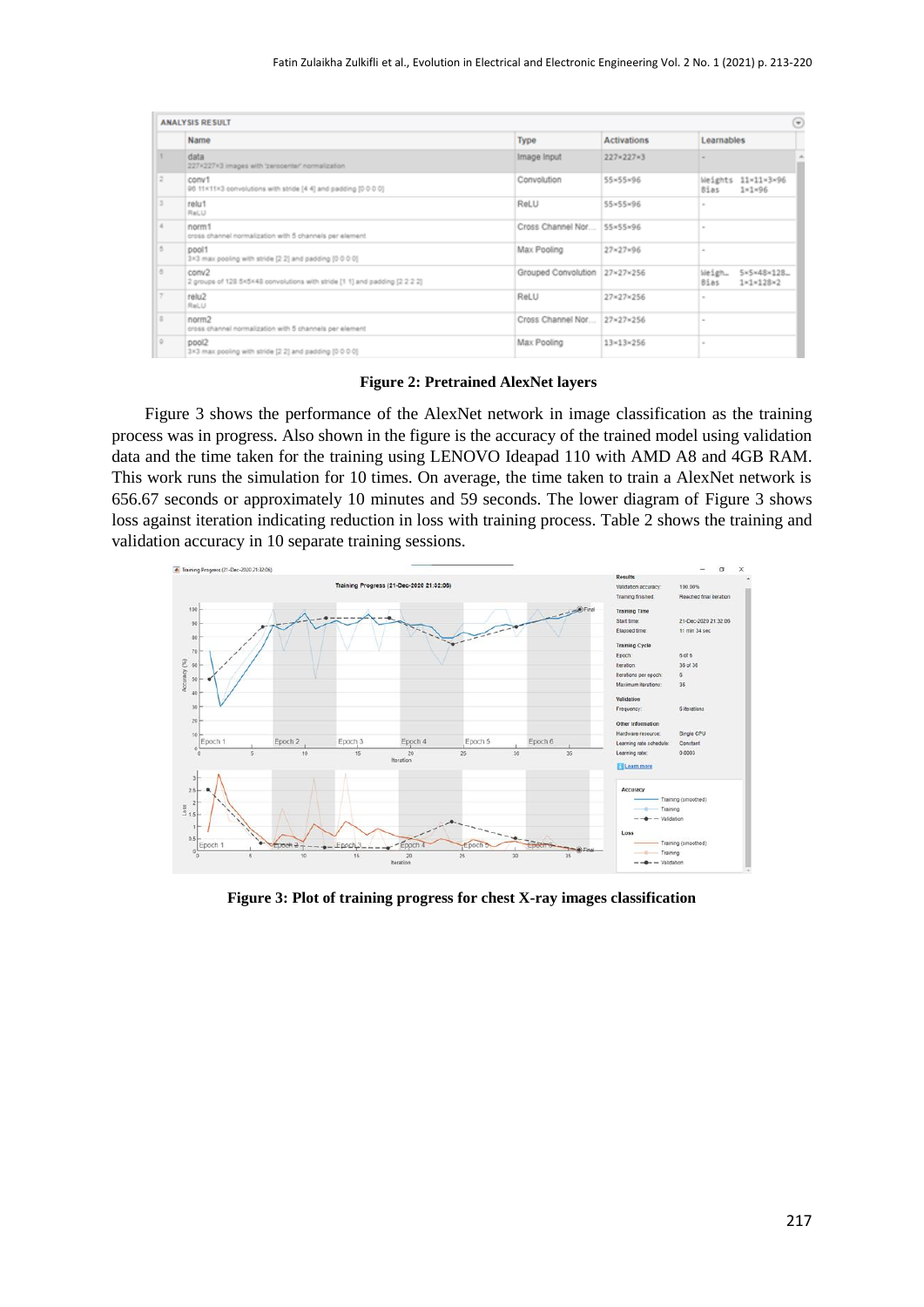| ම<br><b>ANALYSIS RESULT</b> |                                                                                      |                               |                           |                                                      |  |
|-----------------------------|--------------------------------------------------------------------------------------|-------------------------------|---------------------------|------------------------------------------------------|--|
|                             | Name                                                                                 | Type                          | <b>Activations</b>        | Learnables                                           |  |
|                             | data<br>227x227x3 images with 'zerocenter' normalization                             | Image Input                   | 227×227×3                 |                                                      |  |
|                             | conv1<br>96 11x11x3 convolutions with stride [4 4] and padding [0 0 0 0]             | Convolution                   | 55×55×96                  | Weights 11x11x3x96<br>Bias<br>$1 \times 1 \times 96$ |  |
|                             | relu1<br>ReLU                                                                        | ReLU                          | 55×55×96                  | $\sim$                                               |  |
|                             | norm1<br>cross channel normalization with 5 channels per element                     | Cross Channel Nor             | SS×55×96                  | $\sim$                                               |  |
|                             | pool1<br>3x3 max pooling with stride [2.2] and padding [0.0.0.0]                     | Max Pooling                   | $27 \times 27 \times 96$  | $\sim$                                               |  |
|                             | conv2<br>2 groups of 128 5×5×48 convolutions with stride [1 1] and padding [2 2 2 2] | Grouped Convolution 27×27×256 |                           | Weigh_<br>5x5x48x128.<br>1×1×128×2<br>Bias           |  |
|                             | relu2<br>ReLU                                                                        | ReLU                          | 27×27×256                 | $\sim$                                               |  |
|                             | norm2<br>cross channel normalization with 5 channels per element                     | Cross Channel Nor             | 27×27×256                 | $\sim$                                               |  |
|                             | pool2<br>3x3 max pooling with stride (2.2) and padding (0.0.0.0)                     | Max Pooling                   | $13 \times 13 \times 256$ | $\sim$                                               |  |

**Figure 2: Pretrained AlexNet layers**

Figure 3 shows the performance of the AlexNet network in image classification as the training process was in progress. Also shown in the figure is the accuracy of the trained model using validation data and the time taken for the training using LENOVO Ideapad 110 with AMD A8 and 4GB RAM. This work runs the simulation for 10 times. On average, the time taken to train a AlexNet network is 656.67 seconds or approximately 10 minutes and 59 seconds. The lower diagram of Figure 3 shows loss against iteration indicating reduction in loss with training process. Table 2 shows the training and validation accuracy in 10 separate training sessions.



**Figure 3: Plot of training progress for chest X-ray images classification**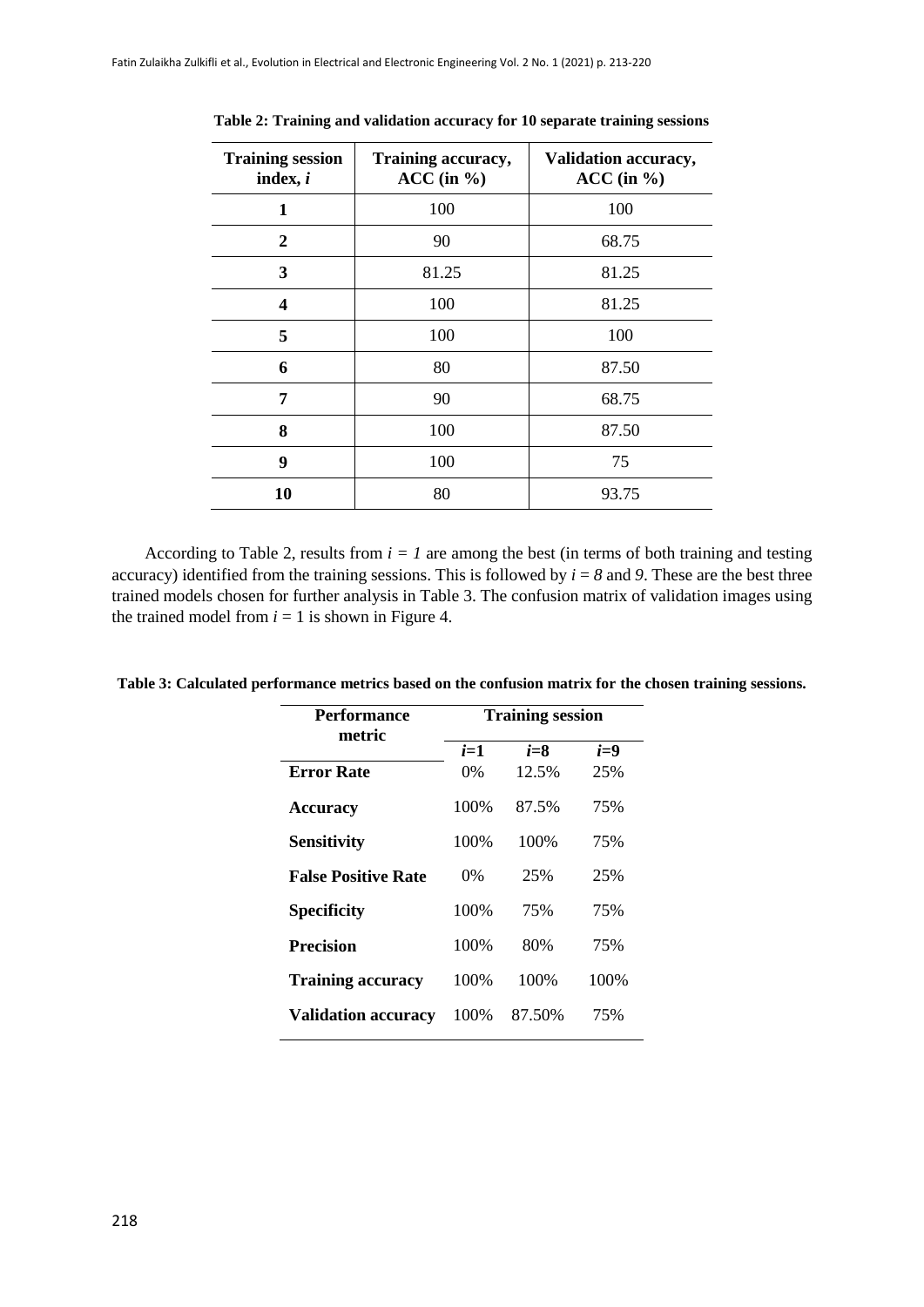| <b>Training session</b><br>index, $i$ | Training accuracy,<br>$ACC$ (in $%$ ) | Validation accuracy,<br>$ACC$ (in $\%$ ) |
|---------------------------------------|---------------------------------------|------------------------------------------|
| 1                                     | 100                                   | 100                                      |
| $\overline{2}$                        | 90                                    | 68.75                                    |
| 3                                     | 81.25                                 | 81.25                                    |
| 4                                     | 100                                   | 81.25                                    |
| 5                                     | 100                                   | 100                                      |
| 6                                     | 80                                    | 87.50                                    |
| 7                                     | 90                                    | 68.75                                    |
| 8                                     | 100                                   | 87.50                                    |
| 9                                     | 100                                   | 75                                       |
| 10                                    | 80                                    | 93.75                                    |

**Table 2: Training and validation accuracy for 10 separate training sessions**

According to Table 2, results from  $i = 1$  are among the best (in terms of both training and testing accuracy) identified from the training sessions. This is followed by  $i = 8$  and 9. These are the best three trained models chosen for further analysis in Table 3. The confusion matrix of validation images using the trained model from  $i = 1$  is shown in Figure 4.

| <b>Performance</b><br>metric | <b>Training session</b> |         |       |  |
|------------------------------|-------------------------|---------|-------|--|
|                              | $i=1$                   | $i = 8$ | $i=9$ |  |
| <b>Error Rate</b>            | $0\%$                   | 12.5%   | 25%   |  |
| <b>Accuracy</b>              | 100%                    | 87.5%   | 75%   |  |
| <b>Sensitivity</b>           | 100%                    | 100\%   | 75%   |  |
| <b>False Positive Rate</b>   | $0\%$                   | 25%     | 25%   |  |
| <b>Specificity</b>           | 100%                    | 75%     | 75%   |  |
| <b>Precision</b>             | 100%                    | 80%     | 75%   |  |
| <b>Training accuracy</b>     | 100%                    | 100%    | 100%  |  |
| <b>Validation accuracy</b>   | 100%                    | 87.50%  | 75%   |  |

**Table 3: Calculated performance metrics based on the confusion matrix for the chosen training sessions.**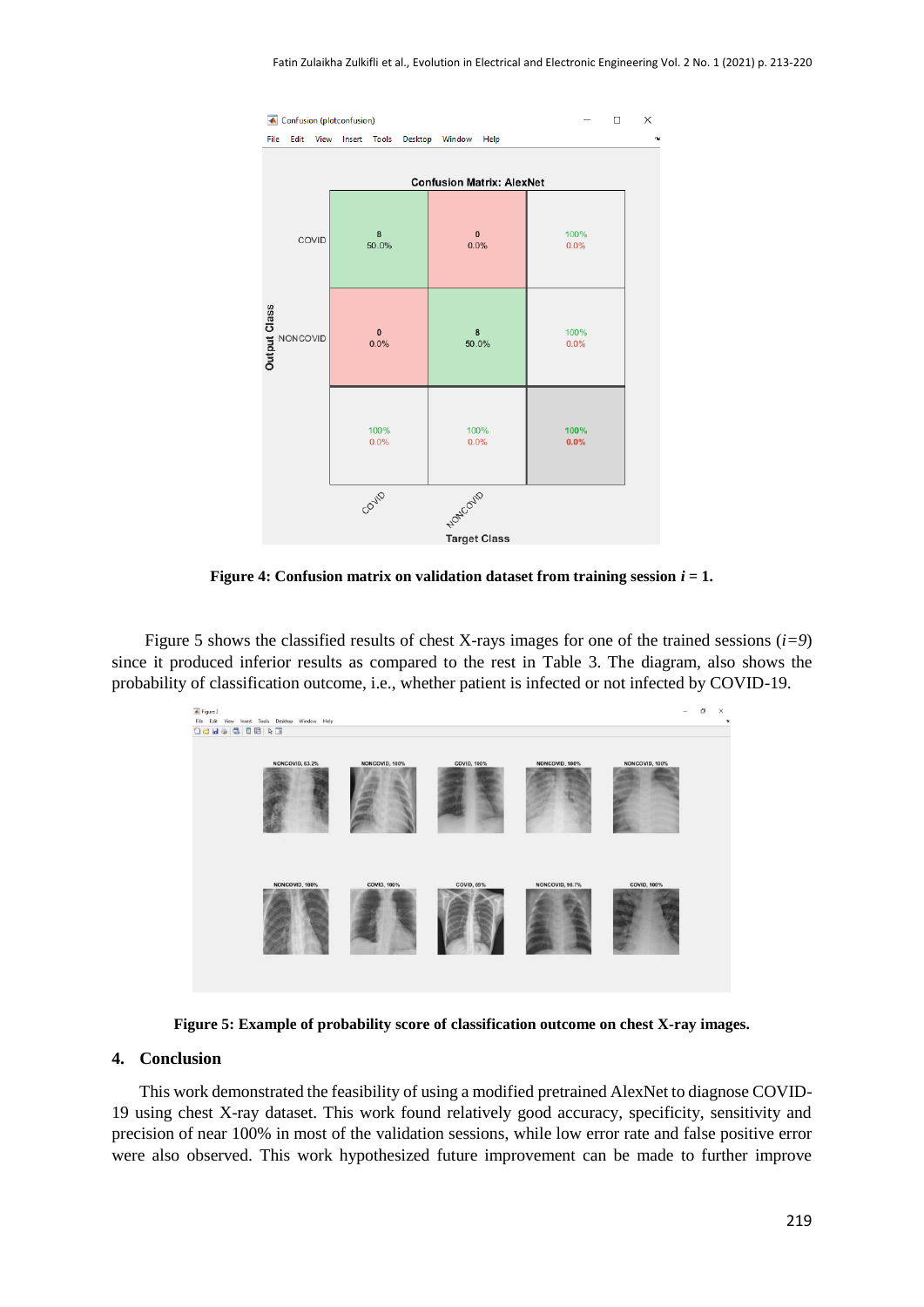

**Figure 4: Confusion matrix on validation dataset from training session** *i* **= 1.**

Figure 5 shows the classified results of chest X-rays images for one of the trained sessions (*i=9*) since it produced inferior results as compared to the rest in Table 3. The diagram, also shows the probability of classification outcome, i.e., whether patient is infected or not infected by COVID-19.



**Figure 5: Example of probability score of classification outcome on chest X-ray images.**

#### **4. Conclusion**

This work demonstrated the feasibility of using a modified pretrained AlexNet to diagnose COVID-19 using chest X-ray dataset. This work found relatively good accuracy, specificity, sensitivity and precision of near 100% in most of the validation sessions, while low error rate and false positive error were also observed. This work hypothesized future improvement can be made to further improve